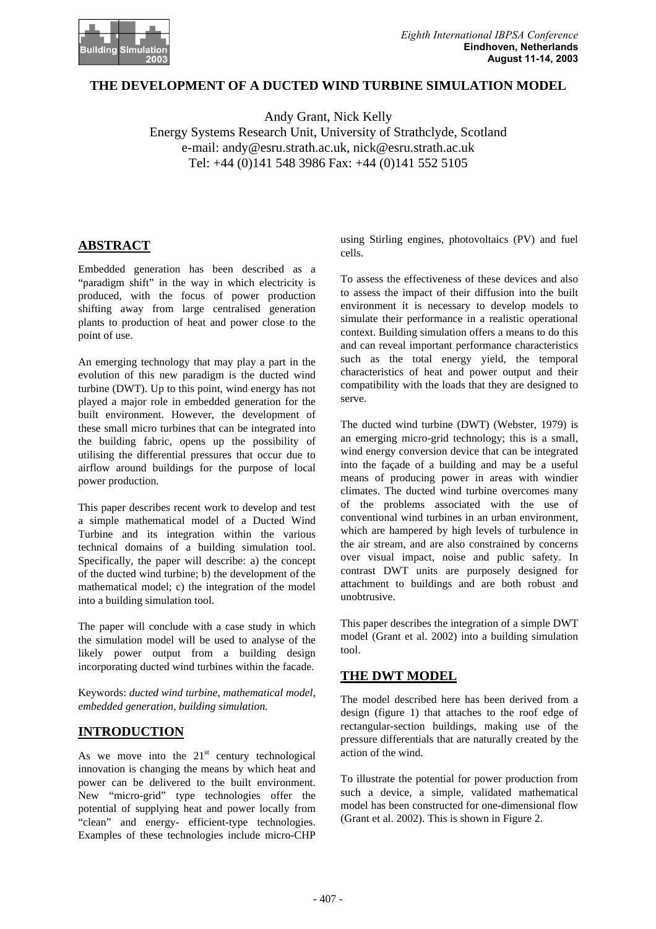

## **THE DEVELOPMENT OF A DUCTED WIND TURBINE SIMULATION MODEL**

Andy Grant, Nick Kelly Energy Systems Research Unit, University of Strathclyde, Scotland e-mail: andy@esru.strath.ac.uk, nick@esru.strath.ac.uk Tel: +44 (0)141 548 3986 Fax: +44 (0)141 552 5105

# **ABSTRACT**

Embedded generation has been described as a "paradigm shift" in the way in which electricity is produced, with the focus of power production shifting away from large centralised generation plants to production of heat and power close to the point of use.

An emerging technology that may play a part in the evolution of this new paradigm is the ducted wind turbine (DWT). Up to this point, wind energy has not played a major role in embedded generation for the built environment. However, the development of these small micro turbines that can be integrated into the building fabric, opens up the possibility of utilising the differential pressures that occur due to airflow around buildings for the purpose of local power production.

This paper describes recent work to develop and test a simple mathematical model of a Ducted Wind Turbine and its integration within the various technical domains of a building simulation tool. Specifically, the paper will describe: a) the concept of the ducted wind turbine; b) the development of the mathematical model; c) the integration of the model into a building simulation tool.

The paper will conclude with a case study in which the simulation model will be used to analyse of the likely power output from a building design incorporating ducted wind turbines within the facade.

Keywords: *ducted wind turbine, mathematical model, embedded generation, building simulation.*

# **INTRODUCTION**

As we move into the  $21<sup>st</sup>$  century technological innovation is changing the means by which heat and power can be delivered to the built environment. New "micro-grid" type technologies offer the potential of supplying heat and power locally from "clean" and energy- efficient-type technologies. Examples of these technologies include micro-CHP

using Stirling engines, photovoltaics (PV) and fuel cells.

To assess the effectiveness of these devices and also to assess the impact of their diffusion into the built environment it is necessary to develop models to simulate their performance in a realistic operational context. Building simulation offers a means to do this and can reveal important performance characteristics such as the total energy yield, the temporal characteristics of heat and power output and their compatibility with the loads that they are designed to serve.

The ducted wind turbine (DWT) (Webster, 1979) is an emerging micro-grid technology; this is a small, wind energy conversion device that can be integrated into the façade of a building and may be a useful means of producing power in areas with windier climates. The ducted wind turbine overcomes many of the problems associated with the use of conventional wind turbines in an urban environment, which are hampered by high levels of turbulence in the air stream, and are also constrained by concerns over visual impact, noise and public safety. In contrast DWT units are purposely designed for attachment to buildings and are both robust and unobtrusive.

This paper describes the integration of a simple DWT model (Grant et al. 2002) into a building simulation tool.

## **THE DWT MODEL**

The model described here has been derived from a design (figure 1) that attaches to the roof edge of rectangular-section buildings, making use of the pressure differentials that are naturally created by the action of the wind.

To illustrate the potential for power production from such a device, a simple, validated mathematical model has been constructed for one-dimensional flow (Grant et al. 2002). This is shown in Figure 2.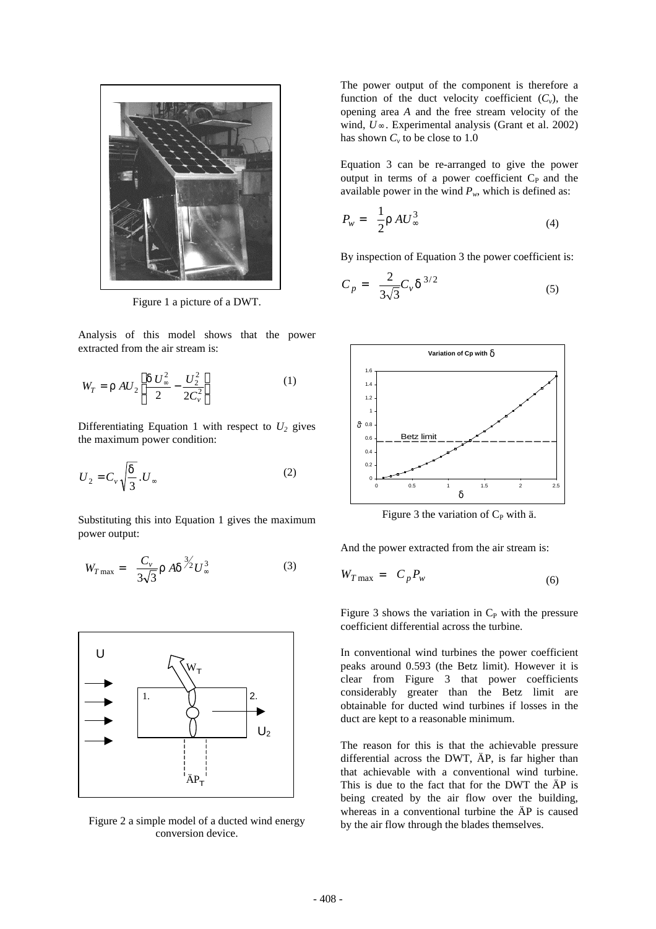

Figure 1 a picture of a DWT.

Analysis of this model shows that the power extracted from the air stream is:

$$
W_T = r A U_2 \left[ \frac{d U_{\infty}^2}{2} - \frac{U_2^2}{2C_v^2} \right]
$$
 (1)

Differentiating Equation 1 with respect to  $U_2$  gives the maximum power condition:

$$
U_2 = C_v \sqrt{\frac{d}{3}} \cdot U_\infty \tag{2}
$$

Substituting this into Equation 1 gives the maximum power output:

$$
W_{T\max} = \frac{C_{\nu}}{3\sqrt{3}} r A d^{\frac{3}{2}} U_{\infty}^{3}
$$
 (3)



Figure 2 a simple model of a ducted wind energy conversion device.

The power output of the component is therefore a function of the duct velocity coefficient  $(C_v)$ , the opening area *A* and the free stream velocity of the wind, *U*∞ . Experimental analysis (Grant et al. 2002) has shown  $C_v$  to be close to 1.0

Equation 3 can be re-arranged to give the power output in terms of a power coefficient  $C_{P}$  and the available power in the wind  $P_w$ , which is defined as:

$$
P_w = \frac{1}{2} r A U_\infty^3 \tag{4}
$$

By inspection of Equation 3 the power coefficient is:

$$
C_p = \frac{2}{3\sqrt{3}} C_v d^{3/2}
$$
 (5)



Figure 3 the variation of  $C_P$  with ä.

And the power extracted from the air stream is:

$$
W_{T\max} = C_p P_w \tag{6}
$$

Figure 3 shows the variation in  $C_P$  with the pressure coefficient differential across the turbine.

In conventional wind turbines the power coefficient peaks around 0.593 (the Betz limit). However it is clear from Figure 3 that power coefficients considerably greater than the Betz limit are obtainable for ducted wind turbines if losses in the duct are kept to a reasonable minimum.

The reason for this is that the achievable pressure differential across the DWT, ÄP, is far higher than that achievable with a conventional wind turbine. This is due to the fact that for the DWT the ÄP is being created by the air flow over the building, whereas in a conventional turbine the ÄP is caused by the air flow through the blades themselves.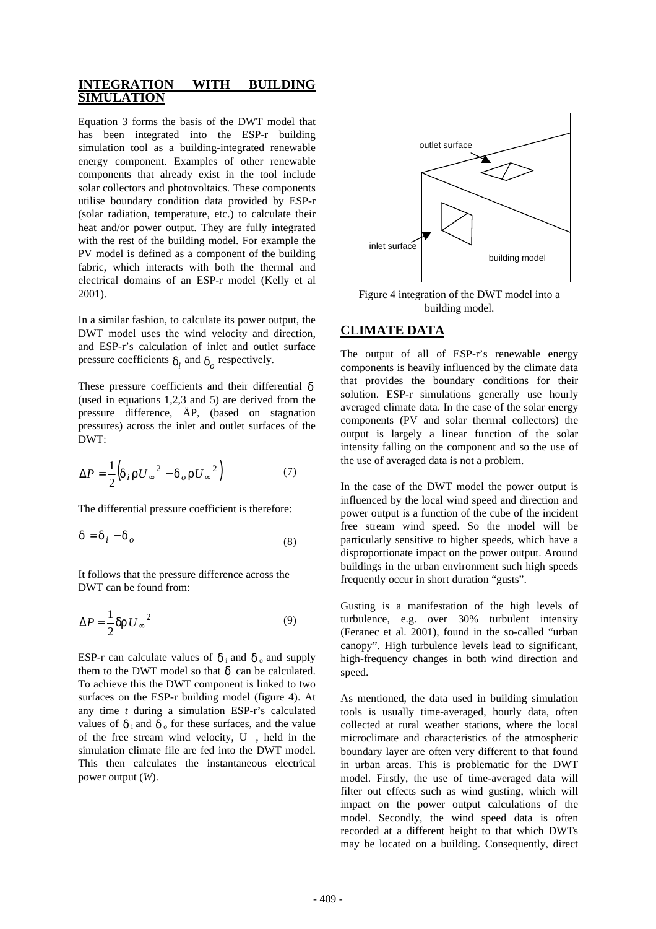## **INTEGRATION WITH BUILDING SIMULATION**

Equation 3 forms the basis of the DWT model that has been integrated into the ESP-r building simulation tool as a building-integrated renewable energy component. Examples of other renewable components that already exist in the tool include solar collectors and photovoltaics. These components utilise boundary condition data provided by ESP-r (solar radiation, temperature, etc.) to calculate their heat and/or power output. They are fully integrated with the rest of the building model. For example the PV model is defined as a component of the building fabric, which interacts with both the thermal and electrical domains of an ESP-r model (Kelly et al 2001).

In a similar fashion, to calculate its power output, the DWT model uses the wind velocity and direction, and ESP-r's calculation of inlet and outlet surface pressure coefficients  $d_i$  and  $d_o$  respectively.

These pressure coefficients and their differential *d* (used in equations 1,2,3 and 5) are derived from the pressure difference, ÄP, (based on stagnation pressures) across the inlet and outlet surfaces of the DWT:

$$
\Delta P = \frac{1}{2} \left( d_i r U_{\infty}^2 - d_o r U_{\infty}^2 \right) \tag{7}
$$

The differential pressure coefficient is therefore:

$$
\mathbf{d} = \mathbf{d}_i - \mathbf{d}_o \tag{8}
$$

It follows that the pressure difference across the DWT can be found from:

$$
\Delta P = \frac{1}{2} dr U_{\infty}^2 \tag{9}
$$

ESP-r can calculate values of  $\boldsymbol{d}_i$  and  $\boldsymbol{d}_o$  and supply them to the DWT model so that  $\boldsymbol{d}$  can be calculated. To achieve this the DWT component is linked to two surfaces on the ESP-r building model (figure 4). At any time *t* during a simulation ESP-r's calculated values of  $\boldsymbol{d}$  i and  $\boldsymbol{d}$  of these surfaces, and the value of the free stream wind velocity, U , held in the simulation climate file are fed into the DWT model. This then calculates the instantaneous electrical power output (*W*).



Figure 4 integration of the DWT model into a building model.

#### **CLIMATE DATA**

The output of all of ESP-r's renewable energy components is heavily influenced by the climate data that provides the boundary conditions for their solution. ESP-r simulations generally use hourly averaged climate data. In the case of the solar energy components (PV and solar thermal collectors) the output is largely a linear function of the solar intensity falling on the component and so the use of the use of averaged data is not a problem.

In the case of the DWT model the power output is influenced by the local wind speed and direction and power output is a function of the cube of the incident free stream wind speed. So the model will be particularly sensitive to higher speeds, which have a disproportionate impact on the power output. Around buildings in the urban environment such high speeds frequently occur in short duration "gusts".

Gusting is a manifestation of the high levels of turbulence, e.g. over 30% turbulent intensity (Feranec et al. 2001), found in the so-called "urban canopy". High turbulence levels lead to significant, high-frequency changes in both wind direction and speed.

As mentioned, the data used in building simulation tools is usually time-averaged, hourly data, often collected at rural weather stations, where the local microclimate and characteristics of the atmospheric boundary layer are often very different to that found in urban areas. This is problematic for the DWT model. Firstly, the use of time-averaged data will filter out effects such as wind gusting, which will impact on the power output calculations of the model. Secondly, the wind speed data is often recorded at a different height to that which DWTs may be located on a building. Consequently, direct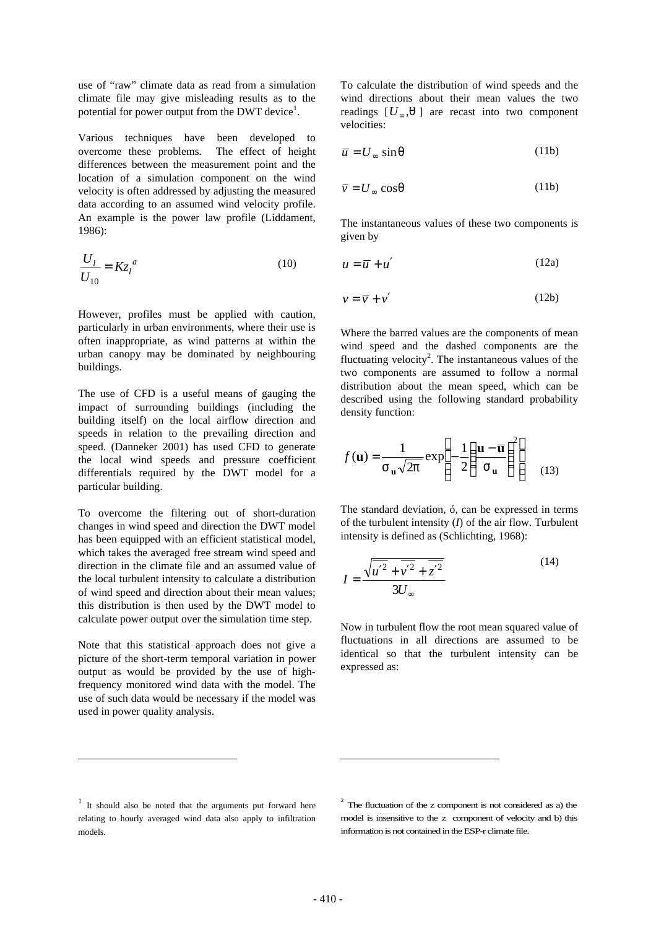use of "raw" climate data as read from a simulation climate file may give misleading results as to the potential for power output from the DWT device<sup>1</sup>.

Various techniques have been developed to overcome these problems. The effect of height differences between the measurement point and the location of a simulation component on the wind velocity is often addressed by adjusting the measured data according to an assumed wind velocity profile. An example is the power law profile (Liddament, 1986):

$$
\frac{U_l}{U_{10}} = Kz_l^a \tag{10}
$$

However, profiles must be applied with caution, particularly in urban environments, where their use is often inappropriate, as wind patterns at within the urban canopy may be dominated by neighbouring buildings.

The use of CFD is a useful means of gauging the impact of surrounding buildings (including the building itself) on the local airflow direction and speeds in relation to the prevailing direction and speed. (Danneker 2001) has used CFD to generate the local wind speeds and pressure coefficient differentials required by the DWT model for a particular building.

To overcome the filtering out of short-duration changes in wind speed and direction the DWT model has been equipped with an efficient statistical model, which takes the averaged free stream wind speed and direction in the climate file and an assumed value of the local turbulent intensity to calculate a distribution of wind speed and direction about their mean values; this distribution is then used by the DWT model to calculate power output over the simulation time step.

Note that this statistical approach does not give a picture of the short-term temporal variation in power output as would be provided by the use of highfrequency monitored wind data with the model. The use of such data would be necessary if the model was used in power quality analysis.

To calculate the distribution of wind speeds and the wind directions about their mean values the two readings  $[U_{\infty}, q]$  are recast into two component velocities:

$$
\overline{u} = U_{\infty} \sin q \tag{11b}
$$

$$
\overline{v} = U_{\infty} \cos q \tag{11b}
$$

The instantaneous values of these two components is given by

$$
u = \overline{u} + u'
$$
 (12a)

$$
v = \overline{v} + v' \tag{12b}
$$

Where the barred values are the components of mean wind speed and the dashed components are the fluctuating velocity<sup>2</sup>. The instantaneous values of the two components are assumed to follow a normal distribution about the mean speed, which can be described using the following standard probability density function:

$$
f(\mathbf{u}) = \frac{1}{S_{\mathbf{u}}\sqrt{2p}} \exp\left[-\frac{1}{2}\left(\frac{\mathbf{u} - \overline{\mathbf{u}}}{S_{\mathbf{u}}}\right)^{2}\right]
$$
(13)

The standard deviation, ó, can be expressed in terms of the turbulent intensity (*I*) of the air flow. Turbulent intensity is defined as (Schlichting, 1968):

$$
I = \frac{\sqrt{u'^2 + v'^2 + z'^2}}{3U_{\infty}}
$$
 (14)

Now in turbulent flow the root mean squared value of fluctuations in all directions are assumed to be identical so that the turbulent intensity can be expressed as:

 $\overline{a}$ 

 $\overline{a}$ 

<sup>&</sup>lt;sup>1</sup> It should also be noted that the arguments put forward here relating to hourly averaged wind data also apply to infiltration models.

 $2^{2}$  The fluctuation of the z component is not considered as a) the model is insensitive to the z component of velocity and b) this information is not contained in the ESP-r climate file.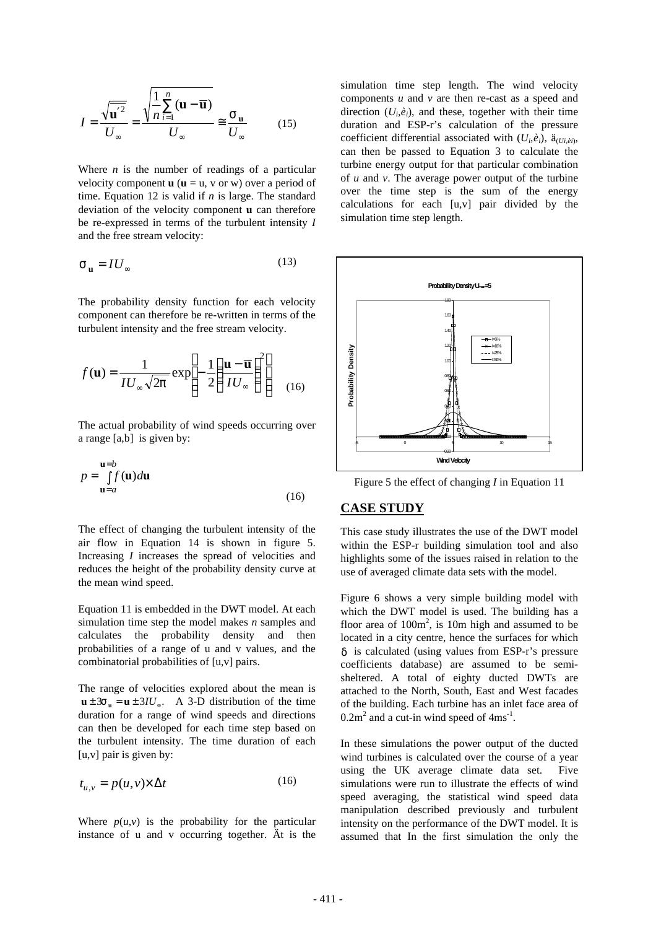$$
I = \frac{\sqrt{\overline{\mathbf{u}'^{2}}}}{U_{\infty}} = \frac{\sqrt{\frac{1}{n} \sum_{i=1}^{n} (\mathbf{u} - \overline{\mathbf{u}})}}{U_{\infty}} \cong \frac{\mathbf{S}_{\mathbf{u}}}{U_{\infty}} \qquad (15)
$$

Where *n* is the number of readings of a particular velocity component  $\mathbf{u}$  ( $\mathbf{u} = \mathbf{u}$ , v or w) over a period of time. Equation 12 is valid if *n* is large. The standard deviation of the velocity component **u** can therefore be re-expressed in terms of the turbulent intensity *I* and the free stream velocity:

$$
\mathbf{S}_{\mathbf{u}} = I U_{\infty} \tag{13}
$$

The probability density function for each velocity component can therefore be re-written in terms of the turbulent intensity and the free stream velocity.

$$
f(\mathbf{u}) = \frac{1}{IU_{\infty}\sqrt{2p}} \exp\left[-\frac{1}{2}\left(\frac{\mathbf{u} - \overline{\mathbf{u}}}{IU_{\infty}}\right)^{2}\right] \quad (16)
$$

The actual probability of wind speeds occurring over a range [a,b] is given by:

$$
p = \int_{\mathbf{u}=a}^{\mathbf{u}=b} f(\mathbf{u}) d\mathbf{u}
$$
 (16)

The effect of changing the turbulent intensity of the air flow in Equation 14 is shown in figure 5. Increasing *I* increases the spread of velocities and reduces the height of the probability density curve at the mean wind speed.

Equation 11 is embedded in the DWT model. At each simulation time step the model makes *n* samples and calculates the probability density and then probabilities of a range of u and v values, and the combinatorial probabilities of [u,v] pairs.

The range of velocities explored about the mean is  $\mathbf{u} \pm 3\mathbf{s}_\mathbf{u} = \mathbf{u} \pm 3IU_\infty$ . A 3-D distribution of the time duration for a range of wind speeds and directions can then be developed for each time step based on the turbulent intensity. The time duration of each  $[u, v]$  pair is given by:

$$
t_{u,v} = p(u,v) \times \Delta t \tag{16}
$$

Where  $p(u, v)$  is the probability for the particular instance of u and v occurring together. Ät is the

simulation time step length. The wind velocity components *u* and *v* are then re-cast as a speed and direction  $(U_i, \hat{e}_i)$ , and these, together with their time duration and ESP-r's calculation of the pressure coefficient differential associated with  $(U_i, \hat{e}_i)$ ,  $\ddot{a}_{(U_i, \hat{e}_i)}$ , can then be passed to Equation 3 to calculate the turbine energy output for that particular combination of *u* and *v*. The average power output of the turbine over the time step is the sum of the energy calculations for each [u,v] pair divided by the simulation time step length.



Figure 5 the effect of changing *I* in Equation 11

## **CASE STUDY**

This case study illustrates the use of the DWT model within the ESP-r building simulation tool and also highlights some of the issues raised in relation to the use of averaged climate data sets with the model.

Figure 6 shows a very simple building model with which the DWT model is used. The building has a floor area of  $100m^2$ , is 10m high and assumed to be located in a city centre, hence the surfaces for which *d* is calculated (using values from ESP-r's pressure coefficients database) are assumed to be semisheltered. A total of eighty ducted DWTs are attached to the North, South, East and West facades of the building. Each turbine has an inlet face area of  $0.2m<sup>2</sup>$  and a cut-in wind speed of  $4ms<sup>-1</sup>$ .

In these simulations the power output of the ducted wind turbines is calculated over the course of a year using the UK average climate data set. Five simulations were run to illustrate the effects of wind speed averaging, the statistical wind speed data manipulation described previously and turbulent intensity on the performance of the DWT model. It is assumed that In the first simulation the only the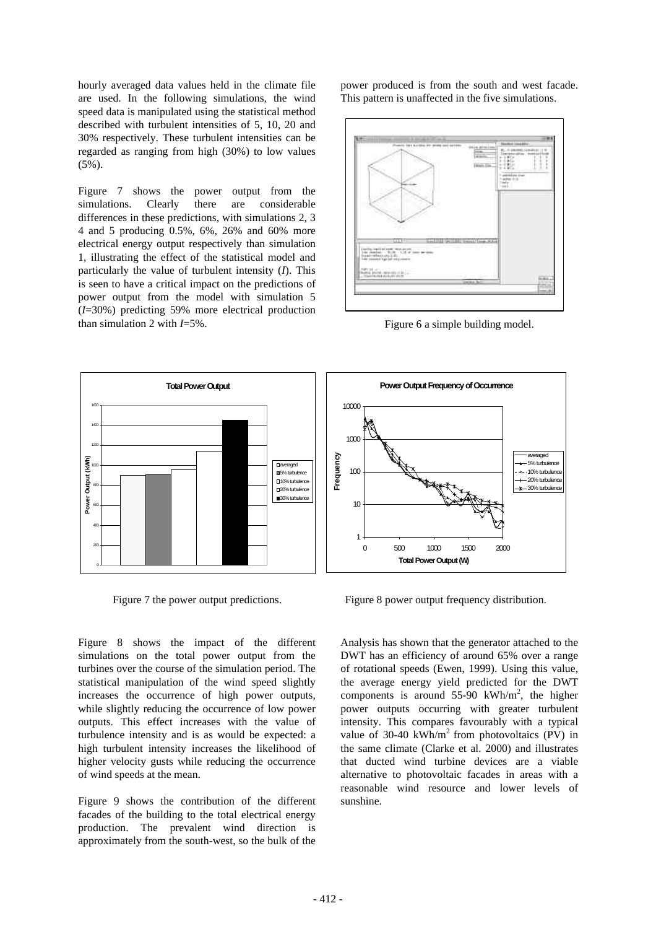hourly averaged data values held in the climate file are used. In the following simulations, the wind speed data is manipulated using the statistical method described with turbulent intensities of 5, 10, 20 and 30% respectively. These turbulent intensities can be regarded as ranging from high (30%) to low values  $(5\%)$ .

Figure 7 shows the power output from the simulations. Clearly there are considerable differences in these predictions, with simulations 2, 3 4 and 5 producing 0.5%, 6%, 26% and 60% more electrical energy output respectively than simulation 1, illustrating the effect of the statistical model and particularly the value of turbulent intensity (*I*). This is seen to have a critical impact on the predictions of power output from the model with simulation 5 (*I*=30%) predicting 59% more electrical production than simulation 2 with *I*=5%.

power produced is from the south and west facade. This pattern is unaffected in the five simulations.



Figure 6 a simple building model.



Figure 8 shows the impact of the different simulations on the total power output from the turbines over the course of the simulation period. The statistical manipulation of the wind speed slightly increases the occurrence of high power outputs, while slightly reducing the occurrence of low power outputs. This effect increases with the value of turbulence intensity and is as would be expected: a high turbulent intensity increases the likelihood of higher velocity gusts while reducing the occurrence of wind speeds at the mean.

Figure 9 shows the contribution of the different facades of the building to the total electrical energy production. The prevalent wind direction is approximately from the south-west, so the bulk of the

Figure 7 the power output predictions. Figure 8 power output frequency distribution.

Analysis has shown that the generator attached to the DWT has an efficiency of around 65% over a range of rotational speeds (Ewen, 1999). Using this value, the average energy yield predicted for the DWT components is around 55-90 kWh/m<sup>2</sup>, the higher power outputs occurring with greater turbulent intensity. This compares favourably with a typical value of 30-40 kWh/m<sup>2</sup> from photovoltaics (PV) in the same climate (Clarke et al. 2000) and illustrates that ducted wind turbine devices are a viable alternative to photovoltaic facades in areas with a reasonable wind resource and lower levels of sunshine.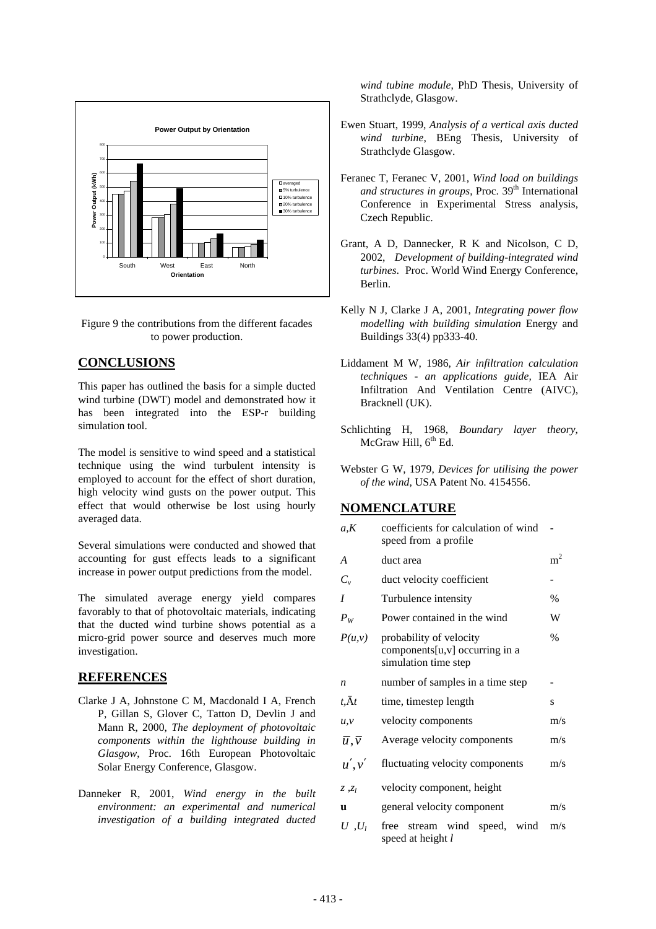

Figure 9 the contributions from the different facades to power production.

## **CONCLUSIONS**

This paper has outlined the basis for a simple ducted wind turbine (DWT) model and demonstrated how it has been integrated into the ESP-r building simulation tool.

The model is sensitive to wind speed and a statistical technique using the wind turbulent intensity is employed to account for the effect of short duration, high velocity wind gusts on the power output. This effect that would otherwise be lost using hourly averaged data.

Several simulations were conducted and showed that accounting for gust effects leads to a significant increase in power output predictions from the model.

The simulated average energy yield compares favorably to that of photovoltaic materials, indicating that the ducted wind turbine shows potential as a micro-grid power source and deserves much more investigation.

## **REFERENCES**

- Clarke J A, Johnstone C M, Macdonald I A, French P, Gillan S, Glover C, Tatton D, Devlin J and Mann R, 2000, *The deployment of photovoltaic components within the lighthouse building in Glasgow*, Proc. 16th European Photovoltaic Solar Energy Conference, Glasgow.
- Danneker R, 2001, *Wind energy in the built environment: an experimental and numerical investigation of a building integrated ducted*

*wind tubine module*, PhD Thesis, University of Strathclyde, Glasgow.

- Ewen Stuart, 1999, *Analysis of a vertical axis ducted wind turbine*, BEng Thesis, University of Strathclyde Glasgow.
- Feranec T, Feranec V, 2001, *Wind load on buildings* and structures in groups, Proc. 39<sup>th</sup> International Conference in Experimental Stress analysis, Czech Republic.
- Grant, A D, Dannecker, R K and Nicolson, C D, 2002, *Development of building-integrated wind turbines*. Proc. World Wind Energy Conference, Berlin.
- Kelly N J, Clarke J A, 2001, *Integrating power flow modelling with building simulation* Energy and Buildings 33(4) pp333-40.
- Liddament M W, 1986, *Air infiltration calculation techniques - an applications guide,* IEA Air Infiltration And Ventilation Centre (AIVC), Bracknell (UK).
- Schlichting H, 1968, *Boundary layer theory*, McGraw Hill,  $6<sup>th</sup>$  Ed.
- Webster G W, 1979, *Devices for utilising the power of the wind*, USA Patent No. 4154556.

## **NOMENCLATURE**

| coefficients for calculation of wind<br>speed from a profile                      |                |
|-----------------------------------------------------------------------------------|----------------|
| duct area                                                                         | m <sup>2</sup> |
| duct velocity coefficient                                                         |                |
| Turbulence intensity                                                              | $\frac{0}{0}$  |
| Power contained in the wind                                                       | W              |
| probability of velocity<br>components[u,v] occurring in a<br>simulation time step | $\%$           |
| number of samples in a time step                                                  |                |
| time, timestep length                                                             | S              |
| velocity components                                                               | m/s            |
| Average velocity components                                                       | m/s            |
| fluctuating velocity components                                                   | m/s            |
| velocity component, height                                                        |                |
| general velocity component                                                        | m/s            |
| free stream wind speed, wind<br>speed at height l                                 | m/s            |
|                                                                                   |                |